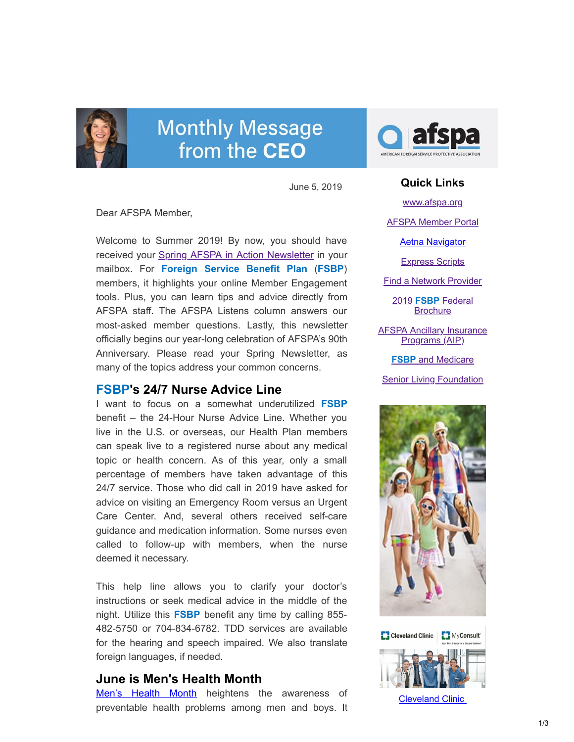

# **Monthly Message** from the CEO

June 5, 2019

Dear AFSPA Member,

Welcome to Summer 2019! By now, you should have received your **Spring AFSPA in Action Newsletter** in your mailbox. For **Foreign Service Benefit Plan** (**FSBP**) members, it highlights your online Member Engagement tools. Plus, you can learn tips and advice directly from AFSPA staff. The AFSPA Listens column answers our most-asked member questions. Lastly, this newsletter officially begins our year-long celebration of AFSPA's 90th Anniversary. Please read your Spring Newsletter, as many of the topics address your common concerns.

# **FSBP's 24/7 Nurse Advice Line**

I want to focus on a somewhat underutilized **FSBP** benefit – the 24-Hour Nurse Advice Line. Whether you live in the U.S. or overseas, our Health Plan members can speak live to a registered nurse about any medical topic or health concern. As of this year, only a small percentage of members have taken advantage of this 24/7 service. Those who did call in 2019 have asked for advice on visiting an Emergency Room versus an Urgent Care Center. And, several others received self-care guidance and medication information. Some nurses even called to follow-up with members, when the nurse deemed it necessary.

This help line allows you to clarify your doctor's instructions or seek medical advice in the middle of the night. Utilize this **FSBP** benefit any time by calling 855- 482-5750 or 704-834-6782. TDD services are available for the hearing and speech impaired. We also translate foreign languages, if needed.

# **June is Men's Health Month**

[Men's Health Month](https://health.gov/news/blog-bayw/2018/06/june-is-mens-health-month/) heightens the awareness of preventable health problems among men and boys. It



### **Quick Links**

[www.afspa.org](http://www.afspa.org/)

[AFSPA Member Portal](https://secure.myafspa.org/)

[Aetna Navigator](http://aetnanavigator.com/)

[Express Scripts](https://www.express-scripts.com/consumer/site/openenrollment?accessCode=0285630FSBP0A)

[Find a Network Provider](http://www.afspa.org/fsbp/provider)

2019 **FSBP** Federal **[Brochure](https://www.afspa.org/filestoreAFSPA/2019RI72-001FSBPBrochure.pdf)** 

**[AFSPA Ancillary Insurance](https://www.afspa.org/aip_home.cfm)** Programs (AIP)

**FSBP** [and Medicare](https://www.afspa.org/filestoreAFSPA/2018MedicareBrochure.pdf)

**[Senior Living Foundation](http://slfoundation.org/)** 



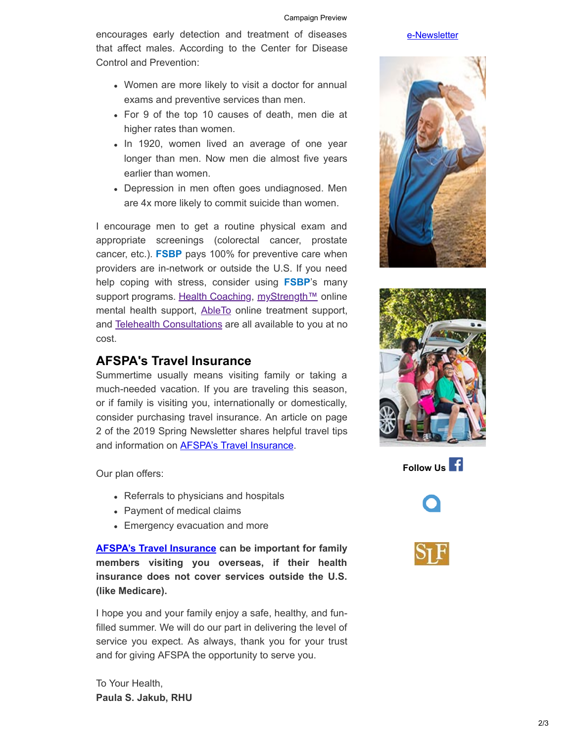encourages early detection and treatment of diseases that affect males. According to the Center for Disease Control and Prevention:

- Women are more likely to visit a doctor for annual exams and preventive services than men.
- For 9 of the top 10 causes of death, men die at higher rates than women.
- In 1920, women lived an average of one year longer than men. Now men die almost five years earlier than women.
- Depression in men often goes undiagnosed. Men are 4x more likely to commit suicide than women.

I encourage men to get a routine physical exam and appropriate screenings (colorectal cancer, prostate cancer, etc.). **FSBP** pays 100% for preventive care when providers are in-network or outside the U.S. If you need help coping with stress, consider using **FSBP**'s many support programs. [Health Coaching](http://enroll.trestletree.com/), [myStrength™](http://www.mystrength.com/) online mental health support, [AbleTo](http://www.ableto.com/enroll) online treatment support, and [Telehealth Consultations](https://amwell.com/) are all available to you at no cost.

# **AFSPA's Travel Insurance**

Summertime usually means visiting family or taking a much-needed vacation. If you are traveling this season, or if family is visiting you, internationally or domestically, consider purchasing travel insurance. An article on page 2 of the 2019 Spring Newsletter shares helpful travel tips and information on **AFSPA's Travel Insurance**.

Our plan offers:

- Referrals to physicians and hospitals
- Payment of medical claims
- Emergency evacuation and more

**[AFSPA's Travel Insurance](https://www.afspa.org/aip_detail.cfm?page=Travel) can be important for family members visiting you overseas, if their health insurance does not cover services outside the U.S. (like Medicare).**

I hope you and your family enjoy a safe, healthy, and funfilled summer. We will do our part in delivering the level of service you expect. As always, thank you for your trust and for giving AFSPA the opportunity to serve you.

To Your Health, **Paula S. Jakub, RHU**

#### [e-Newsletter](https://www.afspa.org/filestoreAFSPA/ClevelandClinic-SecondOpinionNewsletter-eFlyer-Jun2019-AFSPA.pdf)